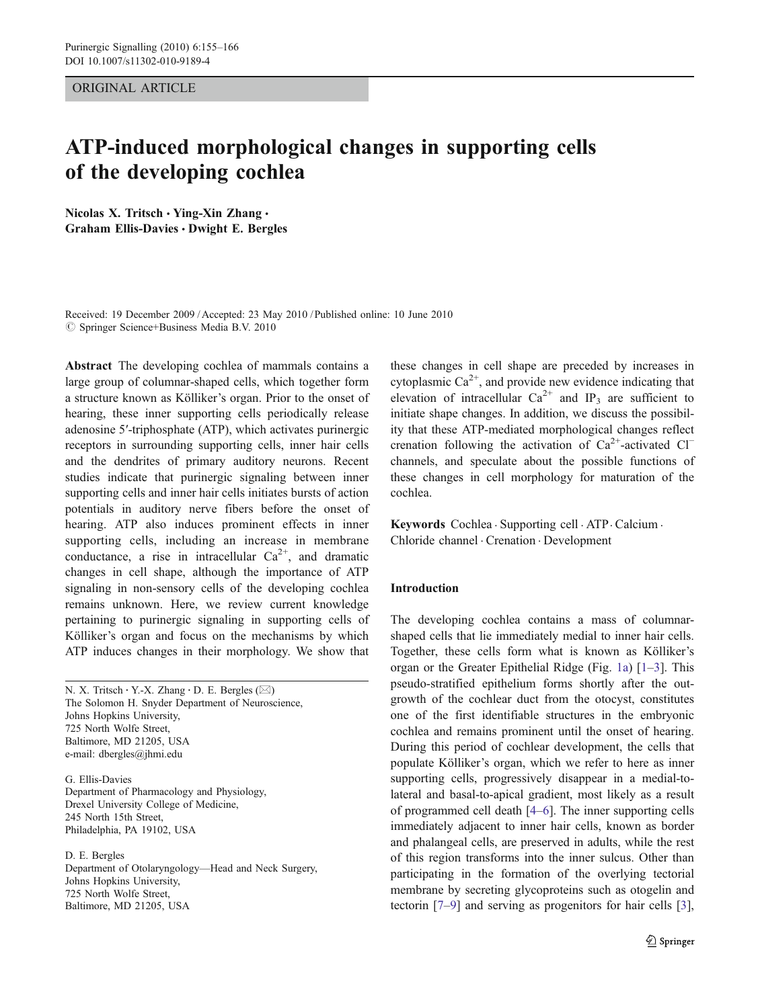## ORIGINAL ARTICLE

# ATP-induced morphological changes in supporting cells of the developing cochlea

Nicolas X. Tritsch · Ying-Xin Zhang · Graham Ellis-Davies · Dwight E. Bergles

Received: 19 December 2009 / Accepted: 23 May 2010 / Published online: 10 June 2010  $\circledcirc$  Springer Science+Business Media B.V. 2010

Abstract The developing cochlea of mammals contains a large group of columnar-shaped cells, which together form a structure known as Kölliker's organ. Prior to the onset of hearing, these inner supporting cells periodically release adenosine 5′-triphosphate (ATP), which activates purinergic receptors in surrounding supporting cells, inner hair cells and the dendrites of primary auditory neurons. Recent studies indicate that purinergic signaling between inner supporting cells and inner hair cells initiates bursts of action potentials in auditory nerve fibers before the onset of hearing. ATP also induces prominent effects in inner supporting cells, including an increase in membrane conductance, a rise in intracellular  $Ca^{2+}$ , and dramatic changes in cell shape, although the importance of ATP signaling in non-sensory cells of the developing cochlea remains unknown. Here, we review current knowledge pertaining to purinergic signaling in supporting cells of Kölliker's organ and focus on the mechanisms by which ATP induces changes in their morphology. We show that

N. X. Tritsch  $\cdot$  Y.-X. Zhang  $\cdot$  D. E. Bergles ( $\boxtimes$ ) The Solomon H. Snyder Department of Neuroscience, Johns Hopkins University, 725 North Wolfe Street, Baltimore, MD 21205, USA e-mail: dbergles@jhmi.edu

G. Ellis-Davies Department of Pharmacology and Physiology, Drexel University College of Medicine, 245 North 15th Street, Philadelphia, PA 19102, USA

D. E. Bergles Department of Otolaryngology—Head and Neck Surgery, Johns Hopkins University, 725 North Wolfe Street, Baltimore, MD 21205, USA

these changes in cell shape are preceded by increases in cytoplasmic  $Ca^{2+}$ , and provide new evidence indicating that elevation of intracellular  $Ca^{2+}$  and IP<sub>3</sub> are sufficient to initiate shape changes. In addition, we discuss the possibility that these ATP-mediated morphological changes reflect crenation following the activation of  $Ca^{2+}$ -activated Cl<sup>−</sup> channels, and speculate about the possible functions of these changes in cell morphology for maturation of the cochlea.

Keywords Cochlea . Supporting cell . ATP . Calcium . Chloride channel . Crenation . Development

## Introduction

The developing cochlea contains a mass of columnarshaped cells that lie immediately medial to inner hair cells. Together, these cells form what is known as Kölliker's organ or the Greater Epithelial Ridge (Fig. [1a\)](#page-1-0) [[1](#page-9-0)–[3](#page-9-0)]. This pseudo-stratified epithelium forms shortly after the outgrowth of the cochlear duct from the otocyst, constitutes one of the first identifiable structures in the embryonic cochlea and remains prominent until the onset of hearing. During this period of cochlear development, the cells that populate Kölliker's organ, which we refer to here as inner supporting cells, progressively disappear in a medial-tolateral and basal-to-apical gradient, most likely as a result of programmed cell death [[4](#page-9-0)–[6\]](#page-9-0). The inner supporting cells immediately adjacent to inner hair cells, known as border and phalangeal cells, are preserved in adults, while the rest of this region transforms into the inner sulcus. Other than participating in the formation of the overlying tectorial membrane by secreting glycoproteins such as otogelin and tectorin [[7](#page-9-0)–[9\]](#page-9-0) and serving as progenitors for hair cells [[3\]](#page-9-0),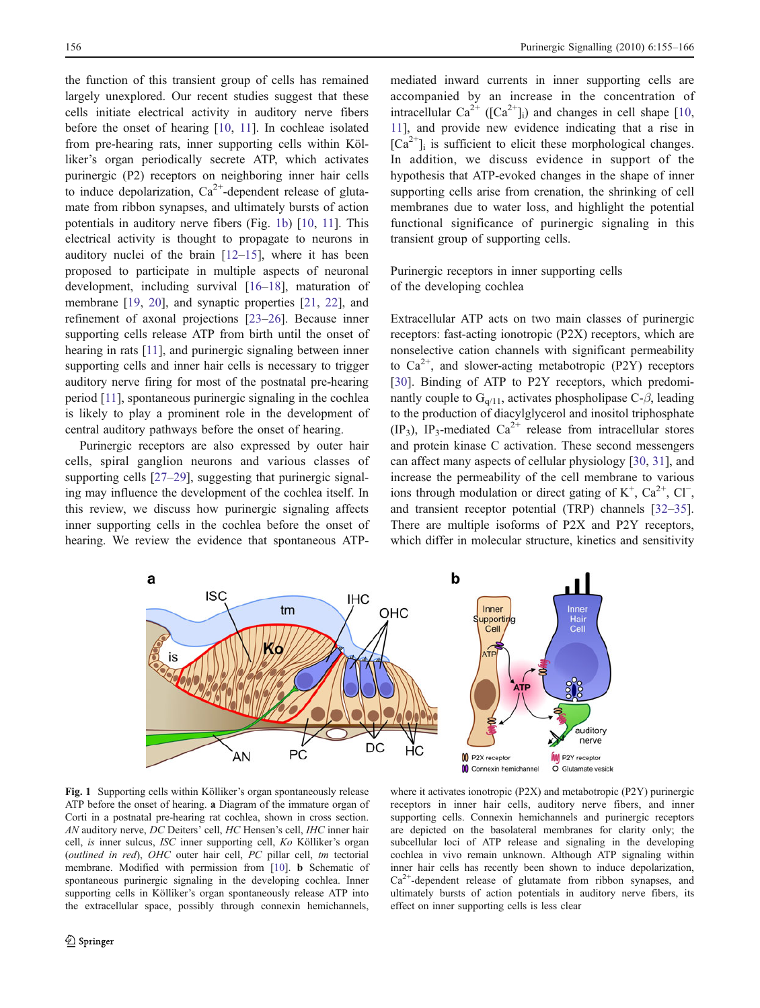<span id="page-1-0"></span>the function of this transient group of cells has remained largely unexplored. Our recent studies suggest that these cells initiate electrical activity in auditory nerve fibers before the onset of hearing [\[10](#page-9-0), [11](#page-9-0)]. In cochleae isolated from pre-hearing rats, inner supporting cells within Kölliker's organ periodically secrete ATP, which activates purinergic (P2) receptors on neighboring inner hair cells to induce depolarization,  $Ca^{2+}$ -dependent release of glutamate from ribbon synapses, and ultimately bursts of action potentials in auditory nerve fibers (Fig. 1b) [\[10](#page-9-0), [11](#page-9-0)]. This electrical activity is thought to propagate to neurons in auditory nuclei of the brain [[12](#page-9-0)–[15\]](#page-9-0), where it has been proposed to participate in multiple aspects of neuronal development, including survival [\[16](#page-9-0)–[18](#page-9-0)], maturation of membrane [[19,](#page-9-0) [20\]](#page-9-0), and synaptic properties [\[21](#page-9-0), [22\]](#page-9-0), and refinement of axonal projections [\[23](#page-9-0)–[26](#page-9-0)]. Because inner supporting cells release ATP from birth until the onset of hearing in rats [[11](#page-9-0)], and purinergic signaling between inner supporting cells and inner hair cells is necessary to trigger auditory nerve firing for most of the postnatal pre-hearing period [\[11\]](#page-9-0), spontaneous purinergic signaling in the cochlea is likely to play a prominent role in the development of central auditory pathways before the onset of hearing.

Purinergic receptors are also expressed by outer hair cells, spiral ganglion neurons and various classes of supporting cells [\[27](#page-9-0)–[29](#page-9-0)], suggesting that purinergic signaling may influence the development of the cochlea itself. In this review, we discuss how purinergic signaling affects inner supporting cells in the cochlea before the onset of hearing. We review the evidence that spontaneous ATP-

mediated inward currents in inner supporting cells are accompanied by an increase in the concentration of intracellular  $Ca^{2+}$  ([Ca<sup>2+</sup>]<sub>i</sub>) and changes in cell shape [[10,](#page-9-0) [11\]](#page-9-0), and provide new evidence indicating that a rise in  $[Ca^{2+}]$ <sub>i</sub> is sufficient to elicit these morphological changes. In addition, we discuss evidence in support of the hypothesis that ATP-evoked changes in the shape of inner supporting cells arise from crenation, the shrinking of cell membranes due to water loss, and highlight the potential functional significance of purinergic signaling in this transient group of supporting cells.

Purinergic receptors in inner supporting cells of the developing cochlea

Extracellular ATP acts on two main classes of purinergic receptors: fast-acting ionotropic (P2X) receptors, which are nonselective cation channels with significant permeability to  $Ca^{2+}$ , and slower-acting metabotropic (P2Y) receptors [\[30](#page-9-0)]. Binding of ATP to P2Y receptors, which predominantly couple to  $G_{q/11}$ , activates phospholipase C- $\beta$ , leading to the production of diacylglycerol and inositol triphosphate  $(IP_3)$ ,  $IP_3$ -mediated  $Ca^{2+}$  release from intracellular stores and protein kinase C activation. These second messengers can affect many aspects of cellular physiology [\[30](#page-9-0), [31\]](#page-9-0), and increase the permeability of the cell membrane to various ions through modulation or direct gating of  $K^+$ , Ca<sup>2+</sup>, Cl<sup>−</sup>, and transient receptor potential (TRP) channels [[32](#page-9-0)–[35\]](#page-10-0). There are multiple isoforms of P2X and P2Y receptors, which differ in molecular structure, kinetics and sensitivity



Fig. 1 Supporting cells within Kölliker's organ spontaneously release ATP before the onset of hearing. a Diagram of the immature organ of Corti in a postnatal pre-hearing rat cochlea, shown in cross section. AN auditory nerve, DC Deiters' cell, HC Hensen's cell, IHC inner hair cell, is inner sulcus, ISC inner supporting cell, Ko Kölliker's organ (outlined in red), OHC outer hair cell, PC pillar cell, tm tectorial membrane. Modified with permission from [[10](#page-9-0)]. b Schematic of spontaneous purinergic signaling in the developing cochlea. Inner supporting cells in Kölliker's organ spontaneously release ATP into the extracellular space, possibly through connexin hemichannels,

where it activates ionotropic (P2X) and metabotropic (P2Y) purinergic receptors in inner hair cells, auditory nerve fibers, and inner supporting cells. Connexin hemichannels and purinergic receptors are depicted on the basolateral membranes for clarity only; the subcellular loci of ATP release and signaling in the developing cochlea in vivo remain unknown. Although ATP signaling within inner hair cells has recently been shown to induce depolarization,  $Ca<sup>2+</sup>$ -dependent release of glutamate from ribbon synapses, and ultimately bursts of action potentials in auditory nerve fibers, its effect on inner supporting cells is less clear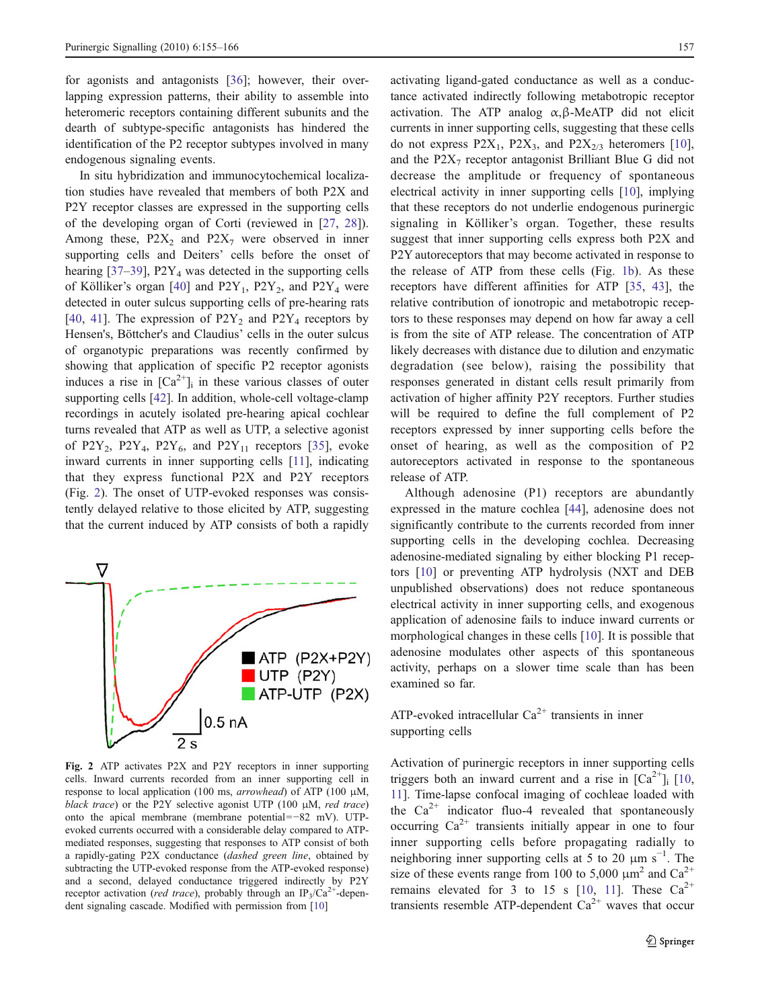<span id="page-2-0"></span>for agonists and antagonists [[36\]](#page-10-0); however, their overlapping expression patterns, their ability to assemble into heteromeric receptors containing different subunits and the dearth of subtype-specific antagonists has hindered the identification of the P2 receptor subtypes involved in many endogenous signaling events.

In situ hybridization and immunocytochemical localization studies have revealed that members of both P2X and P2Y receptor classes are expressed in the supporting cells of the developing organ of Corti (reviewed in [\[27](#page-9-0), [28](#page-9-0)]). Among these,  $P2X_2$  and  $P2X_7$  were observed in inner supporting cells and Deiters' cells before the onset of hearing  $[37-39]$  $[37-39]$  $[37-39]$  $[37-39]$ ,  $P2Y_4$  was detected in the supporting cells of Kölliker's organ  $[40]$  $[40]$  and  $P2Y_1$ ,  $P2Y_2$ , and  $P2Y_4$  were detected in outer sulcus supporting cells of pre-hearing rats [\[40](#page-10-0), [41\]](#page-10-0). The expression of  $P2Y_2$  and  $P2Y_4$  receptors by Hensen's, Böttcher's and Claudius' cells in the outer sulcus of organotypic preparations was recently confirmed by showing that application of specific P2 receptor agonists induces a rise in  $[Ca^{2+}]$ <sub>i</sub> in these various classes of outer supporting cells [[42\]](#page-10-0). In addition, whole-cell voltage-clamp recordings in acutely isolated pre-hearing apical cochlear turns revealed that ATP as well as UTP, a selective agonist of P2Y<sub>2</sub>, P2Y<sub>4</sub>, P2Y<sub>6</sub>, and P2Y<sub>11</sub> receptors [[35\]](#page-10-0), evoke inward currents in inner supporting cells [[11](#page-9-0)], indicating that they express functional P2X and P2Y receptors (Fig. 2). The onset of UTP-evoked responses was consistently delayed relative to those elicited by ATP, suggesting that the current induced by ATP consists of both a rapidly



Fig. 2 ATP activates P2X and P2Y receptors in inner supporting cells. Inward currents recorded from an inner supporting cell in response to local application (100 ms, arrowhead) of ATP (100 μM, black trace) or the P2Y selective agonist UTP (100  $\mu$ M, red trace) onto the apical membrane (membrane potential=−82 mV). UTPevoked currents occurred with a considerable delay compared to ATPmediated responses, suggesting that responses to ATP consist of both a rapidly-gating P2X conductance (dashed green line, obtained by subtracting the UTP-evoked response from the ATP-evoked response) and a second, delayed conductance triggered indirectly by P2Y receptor activation (red trace), probably through an  $IP_3/Ca^{2+}$ -dependent signaling cascade. Modified with permission from [[10](#page-9-0)]

activating ligand-gated conductance as well as a conductance activated indirectly following metabotropic receptor activation. The ATP analog  $\alpha$ ,  $\beta$ -MeATP did not elicit currents in inner supporting cells, suggesting that these cells do not express  $P2X_1$ ,  $P2X_3$ , and  $P2X_{2/3}$  heteromers [[10\]](#page-9-0), and the  $P2X_7$  receptor antagonist Brilliant Blue G did not decrease the amplitude or frequency of spontaneous electrical activity in inner supporting cells [[10\]](#page-9-0), implying that these receptors do not underlie endogenous purinergic signaling in Kölliker's organ. Together, these results suggest that inner supporting cells express both P2X and P2Y autoreceptors that may become activated in response to the release of ATP from these cells (Fig. [1b](#page-1-0)). As these receptors have different affinities for ATP [\[35](#page-10-0), [43](#page-10-0)], the relative contribution of ionotropic and metabotropic receptors to these responses may depend on how far away a cell is from the site of ATP release. The concentration of ATP likely decreases with distance due to dilution and enzymatic degradation (see below), raising the possibility that responses generated in distant cells result primarily from activation of higher affinity P2Y receptors. Further studies will be required to define the full complement of P2 receptors expressed by inner supporting cells before the onset of hearing, as well as the composition of P2 autoreceptors activated in response to the spontaneous release of ATP.

Although adenosine (P1) receptors are abundantly expressed in the mature cochlea [[44\]](#page-10-0), adenosine does not significantly contribute to the currents recorded from inner supporting cells in the developing cochlea. Decreasing adenosine-mediated signaling by either blocking P1 receptors [\[10](#page-9-0)] or preventing ATP hydrolysis (NXT and DEB unpublished observations) does not reduce spontaneous electrical activity in inner supporting cells, and exogenous application of adenosine fails to induce inward currents or morphological changes in these cells [\[10](#page-9-0)]. It is possible that adenosine modulates other aspects of this spontaneous activity, perhaps on a slower time scale than has been examined so far.

## ATP-evoked intracellular  $Ca^{2+}$  transients in inner supporting cells

Activation of purinergic receptors in inner supporting cells triggers both an inward current and a rise in  $[Ca^{2+}]\$ <sub>i</sub>  $[10,$  $[10,$ [11\]](#page-9-0). Time-lapse confocal imaging of cochleae loaded with the  $Ca^{2+}$  indicator fluo-4 revealed that spontaneously occurring  $Ca^{2+}$  transients initially appear in one to four inner supporting cells before propagating radially to neighboring inner supporting cells at 5 to 20  $\mu$ m s<sup>-1</sup>. The size of these events range from 100 to 5,000  $\mu$ m<sup>2</sup> and Ca<sup>2+</sup> remains elevated for 3 to 15 s [\[10](#page-9-0), [11](#page-9-0)]. These  $Ca^{2+}$ transients resemble ATP-dependent  $Ca^{2+}$  waves that occur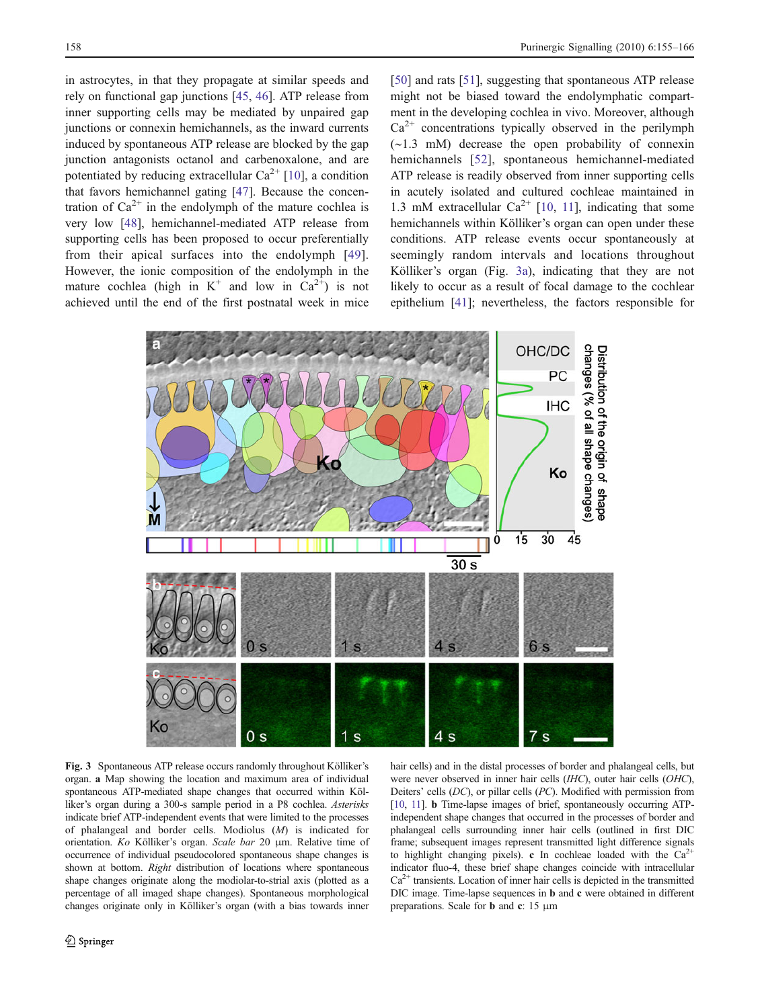<span id="page-3-0"></span>in astrocytes, in that they propagate at similar speeds and rely on functional gap junctions [\[45](#page-10-0), [46](#page-10-0)]. ATP release from inner supporting cells may be mediated by unpaired gap junctions or connexin hemichannels, as the inward currents induced by spontaneous ATP release are blocked by the gap junction antagonists octanol and carbenoxalone, and are potentiated by reducing extracellular  $Ca^{2+}$  [[10\]](#page-9-0), a condition that favors hemichannel gating [\[47](#page-10-0)]. Because the concentration of  $Ca^{2+}$  in the endolymph of the mature cochlea is very low [[48\]](#page-10-0), hemichannel-mediated ATP release from supporting cells has been proposed to occur preferentially from their apical surfaces into the endolymph [[49](#page-10-0)]. However, the ionic composition of the endolymph in the mature cochlea (high in  $K^+$  and low in  $Ca^{2+}$ ) is not achieved until the end of the first postnatal week in mice

[\[50](#page-10-0)] and rats [[51\]](#page-10-0), suggesting that spontaneous ATP release might not be biased toward the endolymphatic compartment in the developing cochlea in vivo. Moreover, although  $Ca<sup>2+</sup>$  concentrations typically observed in the perilymph (∼1.3 mM) decrease the open probability of connexin hemichannels [[52](#page-10-0)], spontaneous hemichannel-mediated ATP release is readily observed from inner supporting cells in acutely isolated and cultured cochleae maintained in 1.3 mM extracellular  $Ca^{2+}$  [[10,](#page-9-0) [11](#page-9-0)], indicating that some hemichannels within Kölliker's organ can open under these conditions. ATP release events occur spontaneously at seemingly random intervals and locations throughout Kölliker's organ (Fig. 3a), indicating that they are not likely to occur as a result of focal damage to the cochlear epithelium [[41\]](#page-10-0); nevertheless, the factors responsible for



Fig. 3 Spontaneous ATP release occurs randomly throughout Kölliker's organ. a Map showing the location and maximum area of individual spontaneous ATP-mediated shape changes that occurred within Kölliker's organ during a 300-s sample period in a P8 cochlea. Asterisks indicate brief ATP-independent events that were limited to the processes of phalangeal and border cells. Modiolus (M) is indicated for orientation. Ko Kölliker's organ. Scale bar 20 μm. Relative time of occurrence of individual pseudocolored spontaneous shape changes is shown at bottom. Right distribution of locations where spontaneous shape changes originate along the modiolar-to-strial axis (plotted as a percentage of all imaged shape changes). Spontaneous morphological changes originate only in Kölliker's organ (with a bias towards inner

hair cells) and in the distal processes of border and phalangeal cells, but were never observed in inner hair cells (IHC), outer hair cells (OHC), Deiters' cells (DC), or pillar cells (PC). Modified with permission from [[10](#page-9-0), [11](#page-9-0)]. b Time-lapse images of brief, spontaneously occurring ATPindependent shape changes that occurred in the processes of border and phalangeal cells surrounding inner hair cells (outlined in first DIC frame; subsequent images represent transmitted light difference signals to highlight changing pixels). c In cochleae loaded with the  $Ca^{2+}$ indicator fluo-4, these brief shape changes coincide with intracellular  $Ca<sup>2+</sup>$  transients. Location of inner hair cells is depicted in the transmitted DIC image. Time-lapse sequences in b and c were obtained in different preparations. Scale for b and c: 15 μm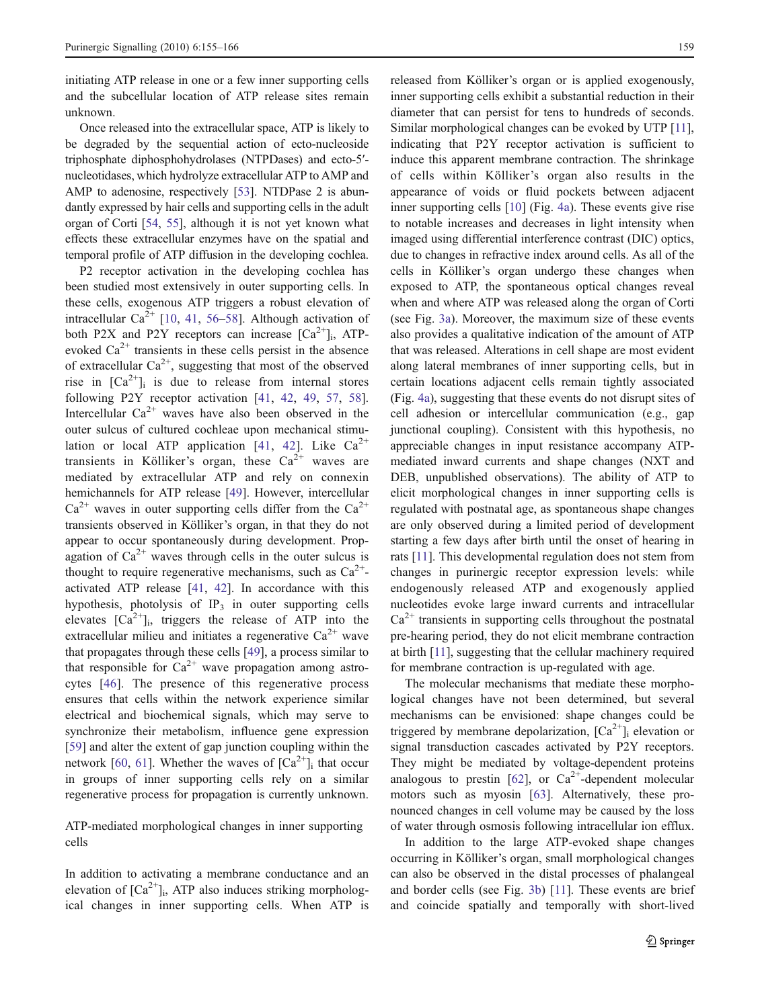initiating ATP release in one or a few inner supporting cells and the subcellular location of ATP release sites remain unknown.

Once released into the extracellular space, ATP is likely to be degraded by the sequential action of ecto-nucleoside triphosphate diphosphohydrolases (NTPDases) and ecto-5′ nucleotidases, which hydrolyze extracellular ATP to AMP and AMP to adenosine, respectively [\[53\]](#page-10-0). NTDPase 2 is abundantly expressed by hair cells and supporting cells in the adult organ of Corti [\[54,](#page-10-0) [55](#page-10-0)], although it is not yet known what effects these extracellular enzymes have on the spatial and temporal profile of ATP diffusion in the developing cochlea.

P2 receptor activation in the developing cochlea has been studied most extensively in outer supporting cells. In these cells, exogenous ATP triggers a robust elevation of intracellular  $Ca^{2+}$  [[10,](#page-9-0) [41](#page-10-0), [56](#page-10-0)–[58\]](#page-10-0). Although activation of both P2X and P2Y receptors can increase  $[Ca^{2+}]_i$ , ATPevoked  $Ca^{2+}$  transients in these cells persist in the absence of extracellular  $Ca^{2+}$ , suggesting that most of the observed rise in  $[Ca^{2+}]$ <sub>i</sub> is due to release from internal stores following P2Y receptor activation [[41](#page-10-0), [42](#page-10-0), [49,](#page-10-0) [57,](#page-10-0) [58](#page-10-0)]. Intercellular  $Ca^{2+}$  waves have also been observed in the outer sulcus of cultured cochleae upon mechanical stimu-lation or local ATP application [\[41,](#page-10-0) [42\]](#page-10-0). Like  $Ca^{2+}$ transients in Kölliker's organ, these  $Ca^{2+}$  waves are mediated by extracellular ATP and rely on connexin hemichannels for ATP release [\[49](#page-10-0)]. However, intercellular  $Ca^{2+}$  waves in outer supporting cells differ from the  $Ca^{2+}$ transients observed in Kölliker's organ, in that they do not appear to occur spontaneously during development. Propagation of  $Ca^{2+}$  waves through cells in the outer sulcus is thought to require regenerative mechanisms, such as  $Ca^{2+}$ activated ATP release [\[41](#page-10-0), [42](#page-10-0)]. In accordance with this hypothesis, photolysis of  $IP_3$  in outer supporting cells elevates  $[Ca^{2+}]_i$ , triggers the release of ATP into the extracellular milieu and initiates a regenerative  $Ca^{2+}$  wave that propagates through these cells [\[49](#page-10-0)], a process similar to that responsible for  $Ca^{2+}$  wave propagation among astrocytes [\[46\]](#page-10-0). The presence of this regenerative process ensures that cells within the network experience similar electrical and biochemical signals, which may serve to synchronize their metabolism, influence gene expression [\[59](#page-10-0)] and alter the extent of gap junction coupling within the network [\[60](#page-10-0), [61](#page-10-0)]. Whether the waves of  $[Ca^{2+}]$ <sub>i</sub> that occur in groups of inner supporting cells rely on a similar regenerative process for propagation is currently unknown.

## ATP-mediated morphological changes in inner supporting cells

In addition to activating a membrane conductance and an elevation of  $[Ca^{2+}]_i$ , ATP also induces striking morphological changes in inner supporting cells. When ATP is released from Kölliker's organ or is applied exogenously, inner supporting cells exhibit a substantial reduction in their diameter that can persist for tens to hundreds of seconds. Similar morphological changes can be evoked by UTP [[11\]](#page-9-0), indicating that P2Y receptor activation is sufficient to induce this apparent membrane contraction. The shrinkage of cells within Kölliker's organ also results in the appearance of voids or fluid pockets between adjacent inner supporting cells [\[10](#page-9-0)] (Fig. [4a\)](#page-5-0). These events give rise to notable increases and decreases in light intensity when imaged using differential interference contrast (DIC) optics, due to changes in refractive index around cells. As all of the cells in Kölliker's organ undergo these changes when exposed to ATP, the spontaneous optical changes reveal when and where ATP was released along the organ of Corti (see Fig. [3a](#page-3-0)). Moreover, the maximum size of these events also provides a qualitative indication of the amount of ATP that was released. Alterations in cell shape are most evident along lateral membranes of inner supporting cells, but in certain locations adjacent cells remain tightly associated (Fig. [4a\)](#page-5-0), suggesting that these events do not disrupt sites of cell adhesion or intercellular communication (e.g., gap junctional coupling). Consistent with this hypothesis, no appreciable changes in input resistance accompany ATPmediated inward currents and shape changes (NXT and DEB, unpublished observations). The ability of ATP to elicit morphological changes in inner supporting cells is regulated with postnatal age, as spontaneous shape changes are only observed during a limited period of development starting a few days after birth until the onset of hearing in rats [\[11\]](#page-9-0). This developmental regulation does not stem from changes in purinergic receptor expression levels: while endogenously released ATP and exogenously applied nucleotides evoke large inward currents and intracellular  $Ca<sup>2+</sup>$  transients in supporting cells throughout the postnatal pre-hearing period, they do not elicit membrane contraction at birth [\[11\]](#page-9-0), suggesting that the cellular machinery required for membrane contraction is up-regulated with age.

The molecular mechanisms that mediate these morphological changes have not been determined, but several mechanisms can be envisioned: shape changes could be triggered by membrane depolarization,  $[Ca^{2+}]_i$  elevation or signal transduction cascades activated by P2Y receptors. They might be mediated by voltage-dependent proteins analogous to prestin [\[62](#page-10-0)], or  $Ca^{2+}$ -dependent molecular motors such as myosin [\[63](#page-10-0)]. Alternatively, these pronounced changes in cell volume may be caused by the loss of water through osmosis following intracellular ion efflux.

In addition to the large ATP-evoked shape changes occurring in Kölliker's organ, small morphological changes can also be observed in the distal processes of phalangeal and border cells (see Fig. [3b](#page-3-0)) [[11](#page-9-0)]. These events are brief and coincide spatially and temporally with short-lived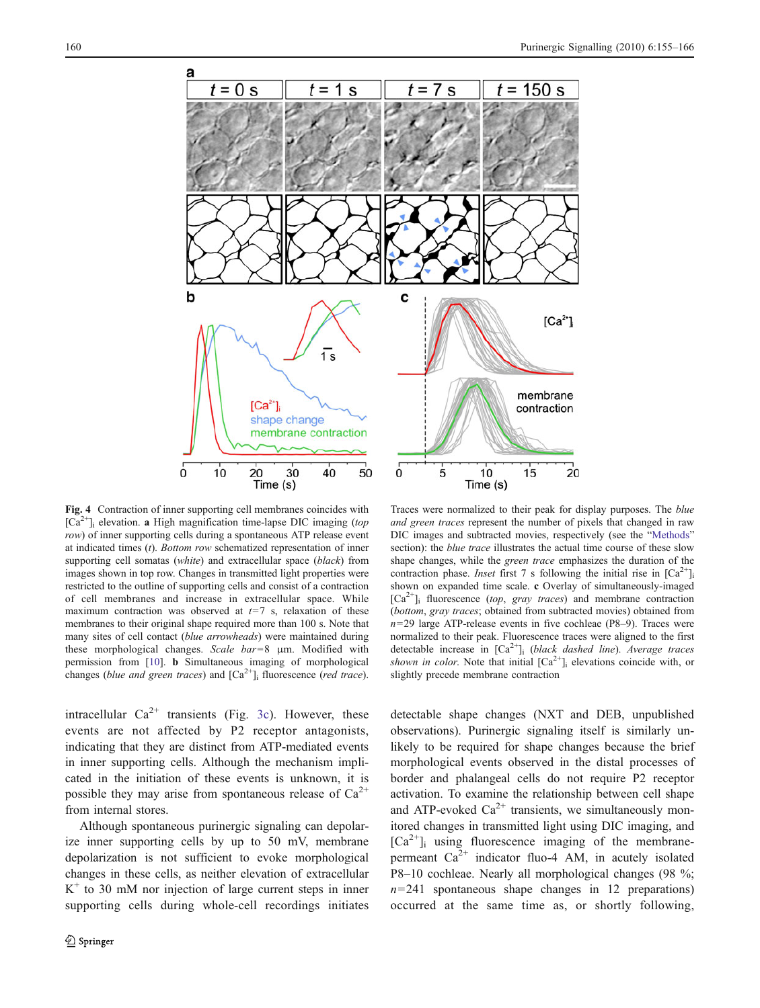<span id="page-5-0"></span>

Fig. 4 Contraction of inner supporting cell membranes coincides with  $[Ca^{2+}]$ <sub>i</sub> elevation. a High magnification time-lapse DIC imaging (top row) of inner supporting cells during a spontaneous ATP release event at indicated times  $(t)$ . Bottom row schematized representation of inner supporting cell somatas (white) and extracellular space (black) from images shown in top row. Changes in transmitted light properties were restricted to the outline of supporting cells and consist of a contraction of cell membranes and increase in extracellular space. While maximum contraction was observed at  $t=7$  s, relaxation of these membranes to their original shape required more than 100 s. Note that many sites of cell contact (blue arrowheads) were maintained during these morphological changes. Scale bar=8 μm. Modified with permission from [[10](#page-9-0)]. b Simultaneous imaging of morphological changes (blue and green traces) and  $[Ca<sup>2+</sup>]$ <sub>i</sub> fluorescence (red trace).

intracellular  $Ca^{2+}$  transients (Fig. [3c](#page-3-0)). However, these events are not affected by P2 receptor antagonists, indicating that they are distinct from ATP-mediated events in inner supporting cells. Although the mechanism implicated in the initiation of these events is unknown, it is possible they may arise from spontaneous release of  $Ca^{2+}$ from internal stores.

Although spontaneous purinergic signaling can depolarize inner supporting cells by up to 50 mV, membrane depolarization is not sufficient to evoke morphological changes in these cells, as neither elevation of extracellular  $K^+$  to 30 mM nor injection of large current steps in inner supporting cells during whole-cell recordings initiates

Traces were normalized to their peak for display purposes. The blue and green traces represent the number of pixels that changed in raw DIC images and subtracted movies, respectively (see the "[Methods](#page-8-0)" section): the *blue trace* illustrates the actual time course of these slow shape changes, while the green trace emphasizes the duration of the contraction phase. Inset first 7 s following the initial rise in  $[Ca^{2+}]$ shown on expanded time scale. c Overlay of simultaneously-imaged  $[Ca^{2+}]$ <sub>i</sub> fluorescence (top, gray traces) and membrane contraction (bottom, gray traces; obtained from subtracted movies) obtained from  $n=29$  large ATP-release events in five cochleae (P8–9). Traces were normalized to their peak. Fluorescence traces were aligned to the first detectable increase in  $\lceil Ca^{2+} \rceil$  (black dashed line). Average traces shown in color. Note that initial  $[Ca^{2+}]$ <sub>i</sub> elevations coincide with, or slightly precede membrane contraction

detectable shape changes (NXT and DEB, unpublished observations). Purinergic signaling itself is similarly unlikely to be required for shape changes because the brief morphological events observed in the distal processes of border and phalangeal cells do not require P2 receptor activation. To examine the relationship between cell shape and ATP-evoked  $Ca^{2+}$  transients, we simultaneously monitored changes in transmitted light using DIC imaging, and  $[Ca^{2+}]$ <sub>i</sub> using fluorescence imaging of the membranepermeant  $Ca^{2+}$  indicator fluo-4 AM, in acutely isolated P8–10 cochleae. Nearly all morphological changes (98 %;  $n=241$  spontaneous shape changes in 12 preparations) occurred at the same time as, or shortly following,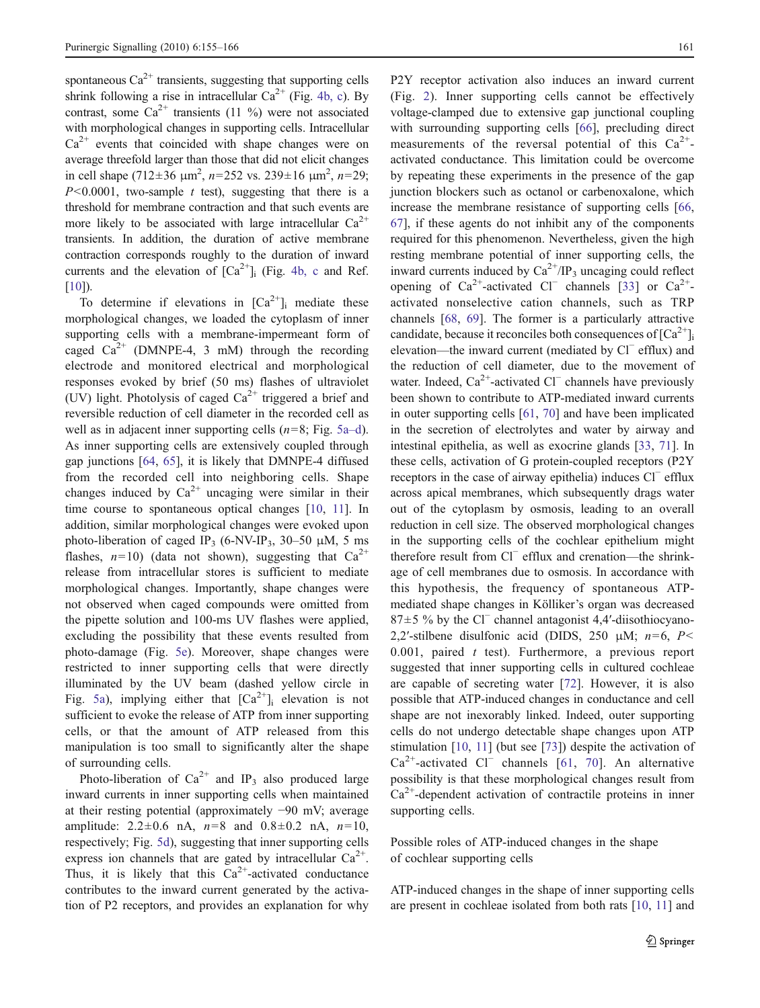spontaneous  $Ca^{2+}$  transients, suggesting that supporting cells shrink following a rise in intracellular  $Ca^{2+}$  (Fig. [4b, c\)](#page-5-0). By contrast, some  $Ca^{2+}$  transients (11 %) were not associated with morphological changes in supporting cells. Intracellular  $Ca<sup>2+</sup>$  events that coincided with shape changes were on average threefold larger than those that did not elicit changes in cell shape (712±36  $\mu$ m<sup>2</sup>, n=252 vs. 239±16  $\mu$ m<sup>2</sup>, n=29;  $P<0.0001$ , two-sample t test), suggesting that there is a threshold for membrane contraction and that such events are more likely to be associated with large intracellular  $Ca^{2+}$ transients. In addition, the duration of active membrane contraction corresponds roughly to the duration of inward currents and the elevation of  $[Ca^{2+}]$ <sub>i</sub> (Fig. [4b, c](#page-5-0) and Ref. [\[10\]](#page-9-0)).

To determine if elevations in  $[Ca^{2+}]$ <sub>i</sub> mediate these morphological changes, we loaded the cytoplasm of inner supporting cells with a membrane-impermeant form of caged  $Ca^{2+}$  (DMNPE-4, 3 mM) through the recording electrode and monitored electrical and morphological responses evoked by brief (50 ms) flashes of ultraviolet (UV) light. Photolysis of caged  $Ca^{2+}$  triggered a brief and reversible reduction of cell diameter in the recorded cell as well as in adjacent inner supporting cells  $(n=8; Fig. 5a-d)$  $(n=8; Fig. 5a-d)$  $(n=8; Fig. 5a-d)$ . As inner supporting cells are extensively coupled through gap junctions [[64,](#page-10-0) [65\]](#page-10-0), it is likely that DMNPE-4 diffused from the recorded cell into neighboring cells. Shape changes induced by  $Ca^{2+}$  uncaging were similar in their time course to spontaneous optical changes [\[10](#page-9-0), [11](#page-9-0)]. In addition, similar morphological changes were evoked upon photo-liberation of caged IP<sub>3</sub> (6-NV-IP<sub>3</sub>, 30–50  $\mu$ M, 5 ms flashes,  $n=10$ ) (data not shown), suggesting that  $Ca^{2+}$ release from intracellular stores is sufficient to mediate morphological changes. Importantly, shape changes were not observed when caged compounds were omitted from the pipette solution and 100-ms UV flashes were applied, excluding the possibility that these events resulted from photo-damage (Fig. [5e\)](#page-7-0). Moreover, shape changes were restricted to inner supporting cells that were directly illuminated by the UV beam (dashed yellow circle in Fig. [5a\)](#page-7-0), implying either that  $[Ca^{2+}]_i$  elevation is not sufficient to evoke the release of ATP from inner supporting cells, or that the amount of ATP released from this manipulation is too small to significantly alter the shape of surrounding cells.

Photo-liberation of  $Ca^{2+}$  and IP<sub>3</sub> also produced large inward currents in inner supporting cells when maintained at their resting potential (approximately −90 mV; average amplitude:  $2.2 \pm 0.6$  nA,  $n=8$  and  $0.8 \pm 0.2$  nA,  $n=10$ , respectively; Fig. [5d](#page-7-0)), suggesting that inner supporting cells express ion channels that are gated by intracellular  $Ca^{2+}$ . Thus, it is likely that this  $Ca^{2+}$ -activated conductance contributes to the inward current generated by the activation of P2 receptors, and provides an explanation for why

P2Y receptor activation also induces an inward current (Fig. [2](#page-2-0)). Inner supporting cells cannot be effectively voltage-clamped due to extensive gap junctional coupling with surrounding supporting cells [\[66](#page-10-0)], precluding direct measurements of the reversal potential of this  $Ca^{2+}$ activated conductance. This limitation could be overcome by repeating these experiments in the presence of the gap junction blockers such as octanol or carbenoxalone, which increase the membrane resistance of supporting cells [[66,](#page-10-0) [67](#page-10-0)], if these agents do not inhibit any of the components required for this phenomenon. Nevertheless, given the high resting membrane potential of inner supporting cells, the inward currents induced by  $Ca^{2+}/IP_3$  uncaging could reflect opening of  $Ca^{2+}$ -activated Cl<sup>−</sup> channels [[33\]](#page-10-0) or  $Ca^{2+}$ activated nonselective cation channels, such as TRP channels [[68,](#page-10-0) [69\]](#page-10-0). The former is a particularly attractive candidate, because it reconciles both consequences of  $\lceil Ca^{2+} \rceil$ elevation—the inward current (mediated by Cl<sup>−</sup> efflux) and the reduction of cell diameter, due to the movement of water. Indeed, Ca<sup>2+</sup>-activated Cl<sup>−</sup> channels have previously been shown to contribute to ATP-mediated inward currents in outer supporting cells [[61,](#page-10-0) [70](#page-10-0)] and have been implicated in the secretion of electrolytes and water by airway and intestinal epithelia, as well as exocrine glands [[33,](#page-10-0) [71\]](#page-10-0). In these cells, activation of G protein-coupled receptors (P2Y receptors in the case of airway epithelia) induces Cl<sup>−</sup> efflux across apical membranes, which subsequently drags water out of the cytoplasm by osmosis, leading to an overall reduction in cell size. The observed morphological changes in the supporting cells of the cochlear epithelium might therefore result from Cl<sup>−</sup> efflux and crenation—the shrinkage of cell membranes due to osmosis. In accordance with this hypothesis, the frequency of spontaneous ATPmediated shape changes in Kölliker's organ was decreased 87±5 % by the Cl<sup>−</sup> channel antagonist 4,4′-diisothiocyano-2,2'-stilbene disulfonic acid (DIDS, 250 μM;  $n=6$ , P< 0.001, paired  $t$  test). Furthermore, a previous report suggested that inner supporting cells in cultured cochleae are capable of secreting water [\[72](#page-10-0)]. However, it is also possible that ATP-induced changes in conductance and cell shape are not inexorably linked. Indeed, outer supporting cells do not undergo detectable shape changes upon ATP stimulation [\[10](#page-9-0), [11\]](#page-9-0) (but see [\[73](#page-10-0)]) despite the activation of Ca2+-activated Cl<sup>−</sup> channels [[61,](#page-10-0) [70](#page-10-0)]. An alternative possibility is that these morphological changes result from  $Ca<sup>2+</sup>$ -dependent activation of contractile proteins in inner supporting cells.

Possible roles of ATP-induced changes in the shape of cochlear supporting cells

ATP-induced changes in the shape of inner supporting cells are present in cochleae isolated from both rats [\[10](#page-9-0), [11\]](#page-9-0) and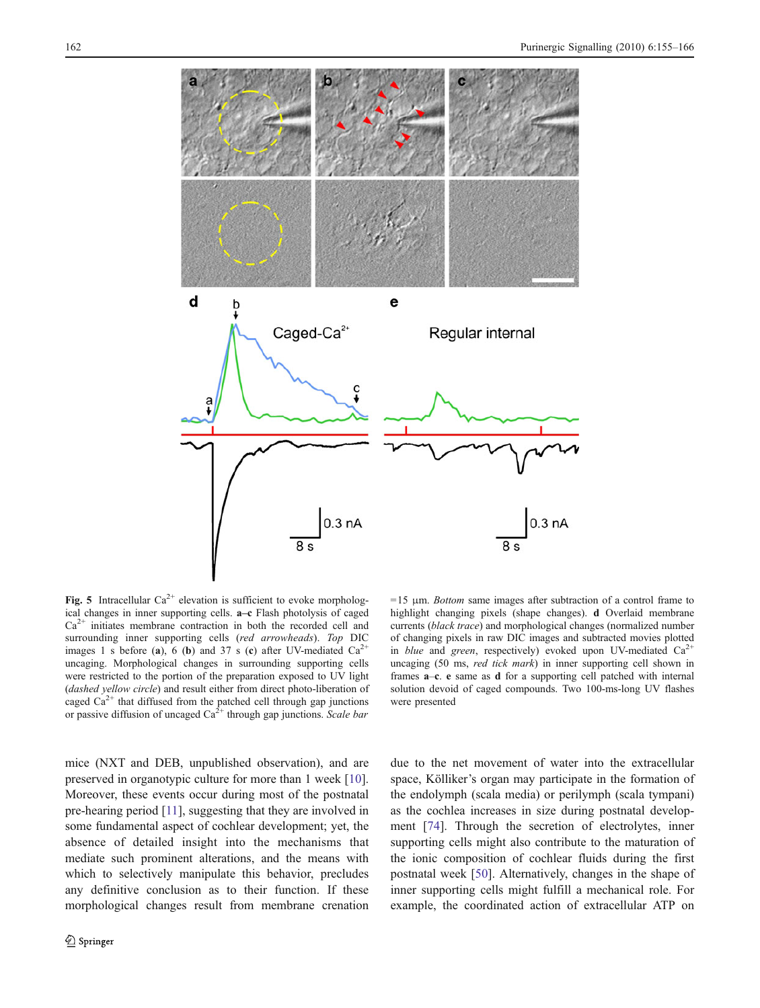<span id="page-7-0"></span>

Fig. 5 Intracellular  $Ca^{2+}$  elevation is sufficient to evoke morphological changes in inner supporting cells. a–c Flash photolysis of caged  $Ca<sup>2+</sup>$  initiates membrane contraction in both the recorded cell and surrounding inner supporting cells (red arrowheads). Top DIC images 1 s before (a), 6 (b) and 37 s (c) after UV-mediated  $Ca<sup>2+</sup>$ uncaging. Morphological changes in surrounding supporting cells were restricted to the portion of the preparation exposed to UV light (dashed yellow circle) and result either from direct photo-liberation of caged  $Ca<sup>2+</sup>$  that diffused from the patched cell through gap junctions or passive diffusion of uncaged  $Ca^{2+}$  through gap junctions. Scale bar

 $=15$  μm. *Bottom* same images after subtraction of a control frame to highlight changing pixels (shape changes). d Overlaid membrane currents (black trace) and morphological changes (normalized number of changing pixels in raw DIC images and subtracted movies plotted in *blue* and green, respectively) evoked upon UV-mediated  $Ca^{2+}$ uncaging (50 ms, red tick mark) in inner supporting cell shown in frames a–c. e same as d for a supporting cell patched with internal solution devoid of caged compounds. Two 100-ms-long UV flashes were presented

mice (NXT and DEB, unpublished observation), and are preserved in organotypic culture for more than 1 week [\[10](#page-9-0)]. Moreover, these events occur during most of the postnatal pre-hearing period [[11\]](#page-9-0), suggesting that they are involved in some fundamental aspect of cochlear development; yet, the absence of detailed insight into the mechanisms that mediate such prominent alterations, and the means with which to selectively manipulate this behavior, precludes any definitive conclusion as to their function. If these morphological changes result from membrane crenation due to the net movement of water into the extracellular space, Kölliker's organ may participate in the formation of the endolymph (scala media) or perilymph (scala tympani) as the cochlea increases in size during postnatal development [[74\]](#page-11-0). Through the secretion of electrolytes, inner supporting cells might also contribute to the maturation of the ionic composition of cochlear fluids during the first postnatal week [[50\]](#page-10-0). Alternatively, changes in the shape of inner supporting cells might fulfill a mechanical role. For example, the coordinated action of extracellular ATP on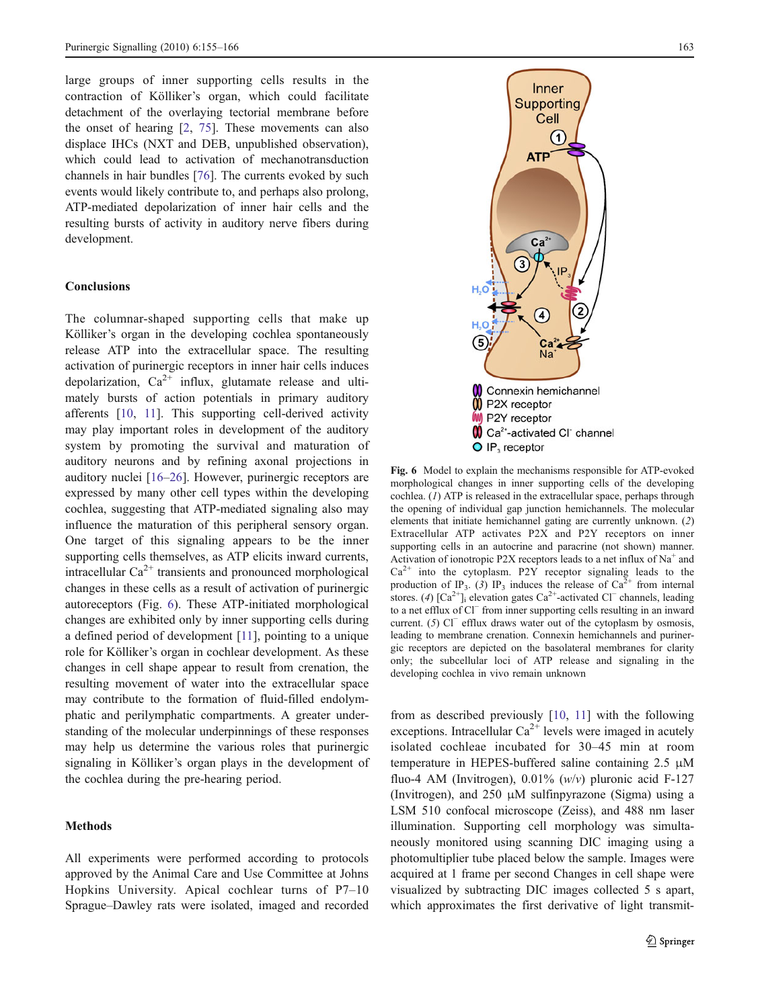<span id="page-8-0"></span>large groups of inner supporting cells results in the contraction of Kölliker's organ, which could facilitate detachment of the overlaying tectorial membrane before the onset of hearing [[2,](#page-9-0) [75\]](#page-11-0). These movements can also displace IHCs (NXT and DEB, unpublished observation), which could lead to activation of mechanotransduction channels in hair bundles [[76\]](#page-11-0). The currents evoked by such events would likely contribute to, and perhaps also prolong, ATP-mediated depolarization of inner hair cells and the resulting bursts of activity in auditory nerve fibers during development.

## Conclusions

The columnar-shaped supporting cells that make up Kölliker's organ in the developing cochlea spontaneously release ATP into the extracellular space. The resulting activation of purinergic receptors in inner hair cells induces depolarization,  $Ca^{2+}$  influx, glutamate release and ultimately bursts of action potentials in primary auditory afferents [[10](#page-9-0), [11\]](#page-9-0). This supporting cell-derived activity may play important roles in development of the auditory system by promoting the survival and maturation of auditory neurons and by refining axonal projections in auditory nuclei [\[16](#page-9-0)–[26](#page-9-0)]. However, purinergic receptors are expressed by many other cell types within the developing cochlea, suggesting that ATP-mediated signaling also may influence the maturation of this peripheral sensory organ. One target of this signaling appears to be the inner supporting cells themselves, as ATP elicits inward currents, intracellular  $Ca^{2+}$  transients and pronounced morphological changes in these cells as a result of activation of purinergic autoreceptors (Fig. 6). These ATP-initiated morphological changes are exhibited only by inner supporting cells during a defined period of development [[11](#page-9-0)], pointing to a unique role for Kölliker's organ in cochlear development. As these changes in cell shape appear to result from crenation, the resulting movement of water into the extracellular space may contribute to the formation of fluid-filled endolymphatic and perilymphatic compartments. A greater understanding of the molecular underpinnings of these responses may help us determine the various roles that purinergic signaling in Kölliker's organ plays in the development of the cochlea during the pre-hearing period.

## **Methods**

All experiments were performed according to protocols approved by the Animal Care and Use Committee at Johns Hopkins University. Apical cochlear turns of P7–10 Sprague–Dawley rats were isolated, imaged and recorded



Fig. 6 Model to explain the mechanisms responsible for ATP-evoked morphological changes in inner supporting cells of the developing cochlea. (1) ATP is released in the extracellular space, perhaps through the opening of individual gap junction hemichannels. The molecular elements that initiate hemichannel gating are currently unknown. (2) Extracellular ATP activates P2X and P2Y receptors on inner supporting cells in an autocrine and paracrine (not shown) manner. Activation of ionotropic P2X receptors leads to a net influx of  $Na<sup>+</sup>$  and  $Ca^{2+}$  into the cytoplasm. P2Y receptor signaling leads to the production of IP<sub>3</sub>. (3) IP<sub>3</sub> induces the release of Ca<sup>2+</sup> from internal stores. (4)  $[Ca^{2+}]_i$  elevation gates  $Ca^{2+}$ -activated Cl<sup>−</sup> channels, leading to a net efflux of Cl<sup>−</sup> from inner supporting cells resulting in an inward current. (5) Cl<sup>−</sup> efflux draws water out of the cytoplasm by osmosis, leading to membrane crenation. Connexin hemichannels and purinergic receptors are depicted on the basolateral membranes for clarity only; the subcellular loci of ATP release and signaling in the developing cochlea in vivo remain unknown

from as described previously [[10,](#page-9-0) [11](#page-9-0)] with the following exceptions. Intracellular  $Ca^{2+}$  levels were imaged in acutely isolated cochleae incubated for 30–45 min at room temperature in HEPES-buffered saline containing 2.5 μM fluo-4 AM (Invitrogen),  $0.01\%$  (w/v) pluronic acid F-127 (Invitrogen), and 250 μM sulfinpyrazone (Sigma) using a LSM 510 confocal microscope (Zeiss), and 488 nm laser illumination. Supporting cell morphology was simultaneously monitored using scanning DIC imaging using a photomultiplier tube placed below the sample. Images were acquired at 1 frame per second Changes in cell shape were visualized by subtracting DIC images collected 5 s apart, which approximates the first derivative of light transmit-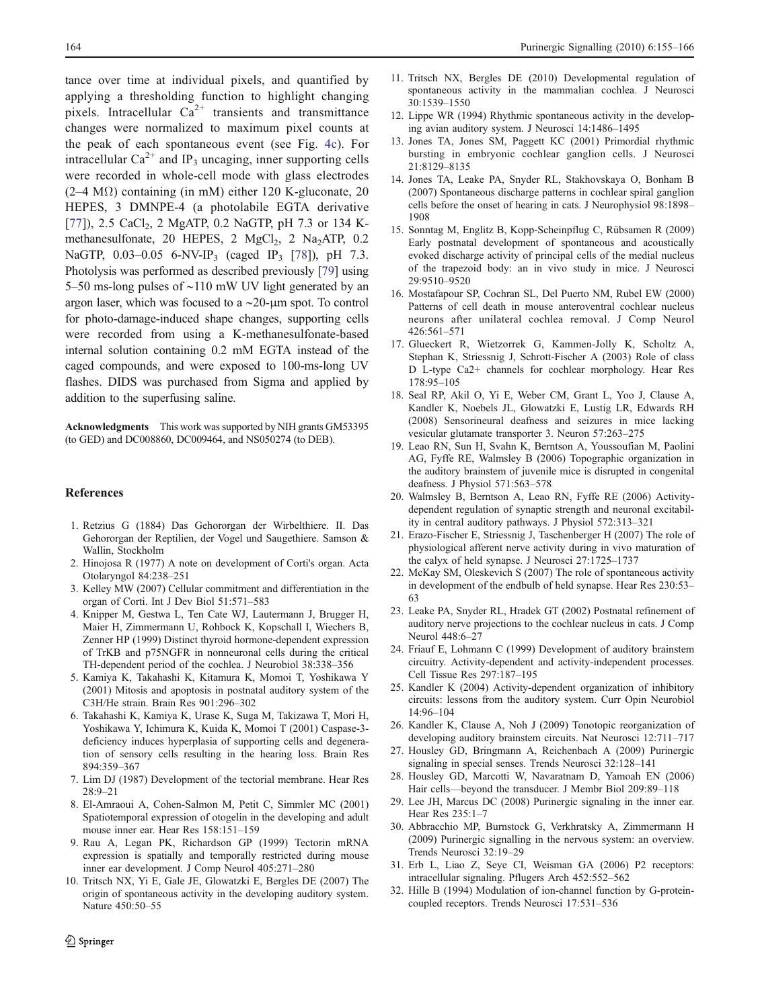<span id="page-9-0"></span>tance over time at individual pixels, and quantified by applying a thresholding function to highlight changing pixels. Intracellular  $Ca^{2+}$  transients and transmittance changes were normalized to maximum pixel counts at the peak of each spontaneous event (see Fig. [4c](#page-5-0)). For intracellular  $Ca^{2+}$  and IP<sub>3</sub> uncaging, inner supporting cells were recorded in whole-cell mode with glass electrodes  $(2-4 M\Omega)$  containing (in mM) either 120 K-gluconate, 20 HEPES, 3 DMNPE-4 (a photolabile EGTA derivative [\[77\]](#page-11-0)), 2.5 CaCl<sub>2</sub>, 2 MgATP, 0.2 NaGTP, pH 7.3 or 134 Kmethanesulfonate, 20 HEPES, 2  $MgCl<sub>2</sub>$ , 2  $Na<sub>2</sub>ATP$ , 0.2 NaGTP,  $0.03-0.05$  6-NV-IP<sub>3</sub> (caged IP<sub>3</sub> [\[78](#page-11-0)]), pH 7.3. Photolysis was performed as described previously [\[79](#page-11-0)] using 5–50 ms-long pulses of ∼110 mW UV light generated by an argon laser, which was focused to a ∼20-μm spot. To control for photo-damage-induced shape changes, supporting cells were recorded from using a K-methanesulfonate-based internal solution containing 0.2 mM EGTA instead of the caged compounds, and were exposed to 100-ms-long UV flashes. DIDS was purchased from Sigma and applied by addition to the superfusing saline.

Acknowledgments This work was supported by NIH grants GM53395 (to GED) and DC008860, DC009464, and NS050274 (to DEB).

#### References

- 1. Retzius G (1884) Das Gehororgan der Wirbelthiere. II. Das Gehororgan der Reptilien, der Vogel und Saugethiere. Samson & Wallin, Stockholm
- 2. Hinojosa R (1977) A note on development of Corti's organ. Acta Otolaryngol 84:238–251
- 3. Kelley MW (2007) Cellular commitment and differentiation in the organ of Corti. Int J Dev Biol 51:571–583
- 4. Knipper M, Gestwa L, Ten Cate WJ, Lautermann J, Brugger H, Maier H, Zimmermann U, Rohbock K, Kopschall I, Wiechers B, Zenner HP (1999) Distinct thyroid hormone-dependent expression of TrKB and p75NGFR in nonneuronal cells during the critical TH-dependent period of the cochlea. J Neurobiol 38:338–356
- 5. Kamiya K, Takahashi K, Kitamura K, Momoi T, Yoshikawa Y (2001) Mitosis and apoptosis in postnatal auditory system of the C3H/He strain. Brain Res 901:296–302
- 6. Takahashi K, Kamiya K, Urase K, Suga M, Takizawa T, Mori H, Yoshikawa Y, Ichimura K, Kuida K, Momoi T (2001) Caspase-3 deficiency induces hyperplasia of supporting cells and degeneration of sensory cells resulting in the hearing loss. Brain Res 894:359–367
- 7. Lim DJ (1987) Development of the tectorial membrane. Hear Res 28:9–21
- 8. El-Amraoui A, Cohen-Salmon M, Petit C, Simmler MC (2001) Spatiotemporal expression of otogelin in the developing and adult mouse inner ear. Hear Res 158:151–159
- 9. Rau A, Legan PK, Richardson GP (1999) Tectorin mRNA expression is spatially and temporally restricted during mouse inner ear development. J Comp Neurol 405:271–280
- 10. Tritsch NX, Yi E, Gale JE, Glowatzki E, Bergles DE (2007) The origin of spontaneous activity in the developing auditory system. Nature 450:50–55
- 11. Tritsch NX, Bergles DE (2010) Developmental regulation of spontaneous activity in the mammalian cochlea. J Neurosci 30:1539–1550
- 12. Lippe WR (1994) Rhythmic spontaneous activity in the developing avian auditory system. J Neurosci 14:1486–1495
- 13. Jones TA, Jones SM, Paggett KC (2001) Primordial rhythmic bursting in embryonic cochlear ganglion cells. J Neurosci 21:8129–8135
- 14. Jones TA, Leake PA, Snyder RL, Stakhovskaya O, Bonham B (2007) Spontaneous discharge patterns in cochlear spiral ganglion cells before the onset of hearing in cats. J Neurophysiol 98:1898– 1908
- 15. Sonntag M, Englitz B, Kopp-Scheinpflug C, Rübsamen R (2009) Early postnatal development of spontaneous and acoustically evoked discharge activity of principal cells of the medial nucleus of the trapezoid body: an in vivo study in mice. J Neurosci 29:9510–9520
- 16. Mostafapour SP, Cochran SL, Del Puerto NM, Rubel EW (2000) Patterns of cell death in mouse anteroventral cochlear nucleus neurons after unilateral cochlea removal. J Comp Neurol 426:561–571
- 17. Glueckert R, Wietzorrek G, Kammen-Jolly K, Scholtz A, Stephan K, Striessnig J, Schrott-Fischer A (2003) Role of class D L-type Ca2+ channels for cochlear morphology. Hear Res 178:95–105
- 18. Seal RP, Akil O, Yi E, Weber CM, Grant L, Yoo J, Clause A, Kandler K, Noebels JL, Glowatzki E, Lustig LR, Edwards RH (2008) Sensorineural deafness and seizures in mice lacking vesicular glutamate transporter 3. Neuron 57:263–275
- 19. Leao RN, Sun H, Svahn K, Berntson A, Youssoufian M, Paolini AG, Fyffe RE, Walmsley B (2006) Topographic organization in the auditory brainstem of juvenile mice is disrupted in congenital deafness. J Physiol 571:563–578
- 20. Walmsley B, Berntson A, Leao RN, Fyffe RE (2006) Activitydependent regulation of synaptic strength and neuronal excitability in central auditory pathways. J Physiol 572:313–321
- 21. Erazo-Fischer E, Striessnig J, Taschenberger H (2007) The role of physiological afferent nerve activity during in vivo maturation of the calyx of held synapse. J Neurosci 27:1725–1737
- 22. McKay SM, Oleskevich S (2007) The role of spontaneous activity in development of the endbulb of held synapse. Hear Res 230:53– 63
- 23. Leake PA, Snyder RL, Hradek GT (2002) Postnatal refinement of auditory nerve projections to the cochlear nucleus in cats. J Comp Neurol 448:6–27
- 24. Friauf E, Lohmann C (1999) Development of auditory brainstem circuitry. Activity-dependent and activity-independent processes. Cell Tissue Res 297:187–195
- 25. Kandler K (2004) Activity-dependent organization of inhibitory circuits: lessons from the auditory system. Curr Opin Neurobiol 14:96–104
- 26. Kandler K, Clause A, Noh J (2009) Tonotopic reorganization of developing auditory brainstem circuits. Nat Neurosci 12:711–717
- 27. Housley GD, Bringmann A, Reichenbach A (2009) Purinergic signaling in special senses. Trends Neurosci 32:128–141
- 28. Housley GD, Marcotti W, Navaratnam D, Yamoah EN (2006) Hair cells—beyond the transducer. J Membr Biol 209:89–118
- 29. Lee JH, Marcus DC (2008) Purinergic signaling in the inner ear. Hear Res 235:1–7
- 30. Abbracchio MP, Burnstock G, Verkhratsky A, Zimmermann H (2009) Purinergic signalling in the nervous system: an overview. Trends Neurosci 32:19–29
- 31. Erb L, Liao Z, Seye CI, Weisman GA (2006) P2 receptors: intracellular signaling. Pflugers Arch 452:552–562
- 32. Hille B (1994) Modulation of ion-channel function by G-proteincoupled receptors. Trends Neurosci 17:531–536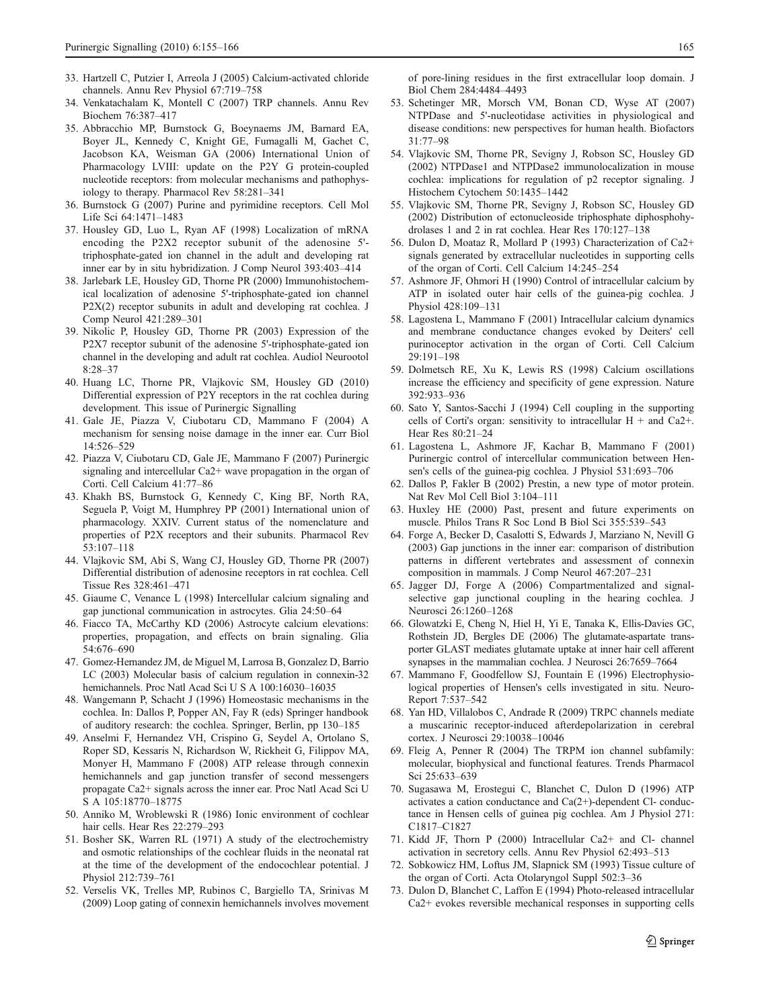- <span id="page-10-0"></span>33. Hartzell C, Putzier I, Arreola J (2005) Calcium-activated chloride channels. Annu Rev Physiol 67:719–758
- 34. Venkatachalam K, Montell C (2007) TRP channels. Annu Rev Biochem 76:387–417
- 35. Abbracchio MP, Burnstock G, Boeynaems JM, Barnard EA, Boyer JL, Kennedy C, Knight GE, Fumagalli M, Gachet C, Jacobson KA, Weisman GA (2006) International Union of Pharmacology LVIII: update on the P2Y G protein-coupled nucleotide receptors: from molecular mechanisms and pathophysiology to therapy. Pharmacol Rev 58:281–341
- 36. Burnstock G (2007) Purine and pyrimidine receptors. Cell Mol Life Sci 64:1471–1483
- 37. Housley GD, Luo L, Ryan AF (1998) Localization of mRNA encoding the P2X2 receptor subunit of the adenosine 5' triphosphate-gated ion channel in the adult and developing rat inner ear by in situ hybridization. J Comp Neurol 393:403–414
- 38. Jarlebark LE, Housley GD, Thorne PR (2000) Immunohistochemical localization of adenosine 5'-triphosphate-gated ion channel P2X(2) receptor subunits in adult and developing rat cochlea. J Comp Neurol 421:289–301
- 39. Nikolic P, Housley GD, Thorne PR (2003) Expression of the P2X7 receptor subunit of the adenosine 5'-triphosphate-gated ion channel in the developing and adult rat cochlea. Audiol Neurootol 8:28–37
- 40. Huang LC, Thorne PR, Vlajkovic SM, Housley GD (2010) Differential expression of P2Y receptors in the rat cochlea during development. This issue of Purinergic Signalling
- 41. Gale JE, Piazza V, Ciubotaru CD, Mammano F (2004) A mechanism for sensing noise damage in the inner ear. Curr Biol 14:526–529
- 42. Piazza V, Ciubotaru CD, Gale JE, Mammano F (2007) Purinergic signaling and intercellular Ca2+ wave propagation in the organ of Corti. Cell Calcium 41:77–86
- 43. Khakh BS, Burnstock G, Kennedy C, King BF, North RA, Seguela P, Voigt M, Humphrey PP (2001) International union of pharmacology. XXIV. Current status of the nomenclature and properties of P2X receptors and their subunits. Pharmacol Rev 53:107–118
- 44. Vlajkovic SM, Abi S, Wang CJ, Housley GD, Thorne PR (2007) Differential distribution of adenosine receptors in rat cochlea. Cell Tissue Res 328:461–471
- 45. Giaume C, Venance L (1998) Intercellular calcium signaling and gap junctional communication in astrocytes. Glia 24:50–64
- 46. Fiacco TA, McCarthy KD (2006) Astrocyte calcium elevations: properties, propagation, and effects on brain signaling. Glia 54:676–690
- 47. Gomez-Hernandez JM, de Miguel M, Larrosa B, Gonzalez D, Barrio LC (2003) Molecular basis of calcium regulation in connexin-32 hemichannels. Proc Natl Acad Sci U S A 100:16030–16035
- 48. Wangemann P, Schacht J (1996) Homeostasic mechanisms in the cochlea. In: Dallos P, Popper AN, Fay R (eds) Springer handbook of auditory research: the cochlea. Springer, Berlin, pp 130–185
- 49. Anselmi F, Hernandez VH, Crispino G, Seydel A, Ortolano S, Roper SD, Kessaris N, Richardson W, Rickheit G, Filippov MA, Monyer H, Mammano F (2008) ATP release through connexin hemichannels and gap junction transfer of second messengers propagate Ca2+ signals across the inner ear. Proc Natl Acad Sci U S A 105:18770–18775
- 50. Anniko M, Wroblewski R (1986) Ionic environment of cochlear hair cells. Hear Res 22:279–293
- 51. Bosher SK, Warren RL (1971) A study of the electrochemistry and osmotic relationships of the cochlear fluids in the neonatal rat at the time of the development of the endocochlear potential. J Physiol 212:739–761
- 52. Verselis VK, Trelles MP, Rubinos C, Bargiello TA, Srinivas M (2009) Loop gating of connexin hemichannels involves movement

of pore-lining residues in the first extracellular loop domain. J Biol Chem 284:4484–4493

- 53. Schetinger MR, Morsch VM, Bonan CD, Wyse AT (2007) NTPDase and 5'-nucleotidase activities in physiological and disease conditions: new perspectives for human health. Biofactors 31:77–98
- 54. Vlajkovic SM, Thorne PR, Sevigny J, Robson SC, Housley GD (2002) NTPDase1 and NTPDase2 immunolocalization in mouse cochlea: implications for regulation of p2 receptor signaling. J Histochem Cytochem 50:1435–1442
- 55. Vlajkovic SM, Thorne PR, Sevigny J, Robson SC, Housley GD (2002) Distribution of ectonucleoside triphosphate diphosphohydrolases 1 and 2 in rat cochlea. Hear Res 170:127–138
- 56. Dulon D, Moataz R, Mollard P (1993) Characterization of Ca2+ signals generated by extracellular nucleotides in supporting cells of the organ of Corti. Cell Calcium 14:245–254
- 57. Ashmore JF, Ohmori H (1990) Control of intracellular calcium by ATP in isolated outer hair cells of the guinea-pig cochlea. J Physiol 428:109–131
- 58. Lagostena L, Mammano F (2001) Intracellular calcium dynamics and membrane conductance changes evoked by Deiters' cell purinoceptor activation in the organ of Corti. Cell Calcium 29:191–198
- 59. Dolmetsch RE, Xu K, Lewis RS (1998) Calcium oscillations increase the efficiency and specificity of gene expression. Nature 392:933–936
- 60. Sato Y, Santos-Sacchi J (1994) Cell coupling in the supporting cells of Corti's organ: sensitivity to intracellular  $H +$  and Ca2+. Hear Res 80:21–24
- 61. Lagostena L, Ashmore JF, Kachar B, Mammano F (2001) Purinergic control of intercellular communication between Hensen's cells of the guinea-pig cochlea. J Physiol 531:693–706
- 62. Dallos P, Fakler B (2002) Prestin, a new type of motor protein. Nat Rev Mol Cell Biol 3:104–111
- 63. Huxley HE (2000) Past, present and future experiments on muscle. Philos Trans R Soc Lond B Biol Sci 355:539–543
- 64. Forge A, Becker D, Casalotti S, Edwards J, Marziano N, Nevill G (2003) Gap junctions in the inner ear: comparison of distribution patterns in different vertebrates and assessment of connexin composition in mammals. J Comp Neurol 467:207–231
- 65. Jagger DJ, Forge A (2006) Compartmentalized and signalselective gap junctional coupling in the hearing cochlea. J Neurosci 26:1260–1268
- 66. Glowatzki E, Cheng N, Hiel H, Yi E, Tanaka K, Ellis-Davies GC, Rothstein JD, Bergles DE (2006) The glutamate-aspartate transporter GLAST mediates glutamate uptake at inner hair cell afferent synapses in the mammalian cochlea. J Neurosci 26:7659–7664
- 67. Mammano F, Goodfellow SJ, Fountain E (1996) Electrophysiological properties of Hensen's cells investigated in situ. Neuro-Report 7:537–542
- 68. Yan HD, Villalobos C, Andrade R (2009) TRPC channels mediate a muscarinic receptor-induced afterdepolarization in cerebral cortex. J Neurosci 29:10038–10046
- 69. Fleig A, Penner R (2004) The TRPM ion channel subfamily: molecular, biophysical and functional features. Trends Pharmacol Sci 25:633–639
- 70. Sugasawa M, Erostegui C, Blanchet C, Dulon D (1996) ATP activates a cation conductance and  $Ca(2+)$ -dependent Cl- conductance in Hensen cells of guinea pig cochlea. Am J Physiol 271: C1817–C1827
- 71. Kidd JF, Thorn P (2000) Intracellular Ca2+ and Cl- channel activation in secretory cells. Annu Rev Physiol 62:493–513
- 72. Sobkowicz HM, Loftus JM, Slapnick SM (1993) Tissue culture of the organ of Corti. Acta Otolaryngol Suppl 502:3–36
- 73. Dulon D, Blanchet C, Laffon E (1994) Photo-released intracellular Ca2+ evokes reversible mechanical responses in supporting cells